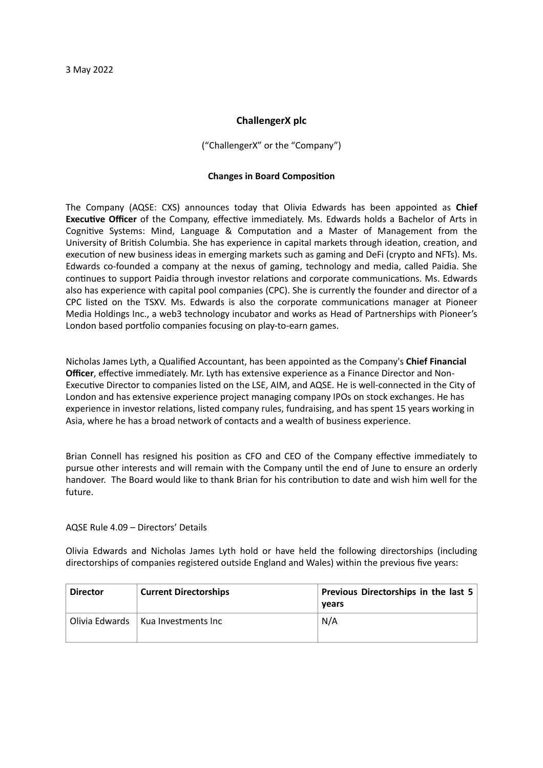## **ChallengerX plc**

("ChallengerX" or the "Company")

## **Changes in Board Composition**

The Company (AQSE: CXS) announces today that Olivia Edwards has been appointed as **Chief Executive Officer** of the Company, effective immediately. Ms. Edwards holds a Bachelor of Arts in Cognitive Systems: Mind, Language & Computation and a Master of Management from the University of British Columbia. She has experience in capital markets through ideation, creation, and execution of new business ideas in emerging markets such as gaming and DeFi (crypto and NFTs). Ms. Edwards co-founded a company at the nexus of gaming, technology and media, called Paidia. She continues to support Paidia through investor relations and corporate communications. Ms. Edwards also has experience with capital pool companies (CPC). She is currently the founder and director of a CPC listed on the TSXV. Ms. Edwards is also the corporate communications manager at Pioneer Media Holdings Inc., a web3 technology incubator and works as Head of Partnerships with Pioneer's London based portfolio companies focusing on play-to-earn games.

Nicholas James Lyth, a Qualified Accountant, has been appointed as the Company's **Chief Financial Officer**, effective immediately. Mr. Lyth has extensive experience as a Finance Director and Non-Executive Director to companies listed on the LSE, AIM, and AQSE. He is well-connected in the City of London and has extensive experience project managing company IPOs on stock exchanges. He has experience in investor relations, listed company rules, fundraising, and has spent 15 years working in Asia, where he has a broad network of contacts and a wealth of business experience.

Brian Connell has resigned his position as CFO and CEO of the Company effective immediately to pursue other interests and will remain with the Company until the end of June to ensure an orderly handover. The Board would like to thank Brian for his contribution to date and wish him well for the future.

AQSE Rule 4.09 – Directors' Details

Olivia Edwards and Nicholas James Lyth hold or have held the following directorships (including directorships of companies registered outside England and Wales) within the previous five years:

| <b>Director</b> | <b>Current Directorships</b> | Previous Directorships in the last 5<br>vears |
|-----------------|------------------------------|-----------------------------------------------|
| Olivia Edwards  | Kua Investments Inc          | N/A                                           |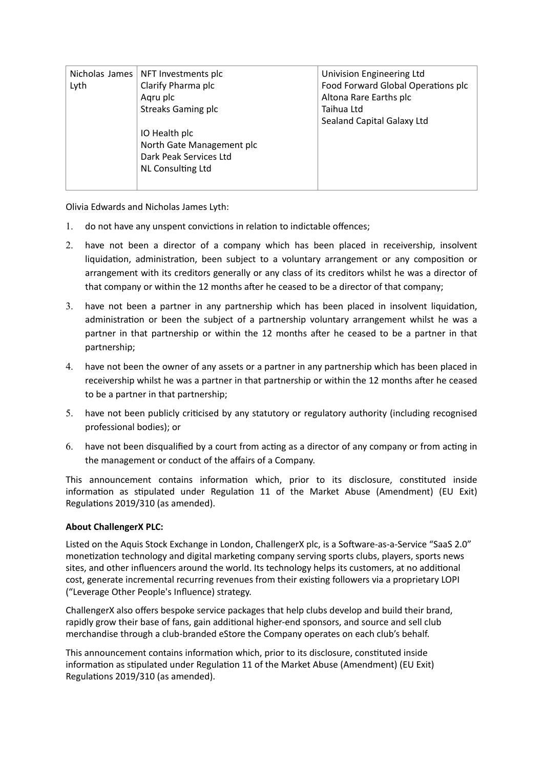| Nicholas James | NFT Investments plc       | Univision Engineering Ltd          |
|----------------|---------------------------|------------------------------------|
| Lyth           | Clarify Pharma plc        | Food Forward Global Operations plc |
|                | Agru plc                  | Altona Rare Earths plc             |
|                | <b>Streaks Gaming plc</b> | Taihua Ltd                         |
|                |                           | Sealand Capital Galaxy Ltd         |
|                | IO Health plc             |                                    |
|                | North Gate Management plc |                                    |
|                | Dark Peak Services Ltd    |                                    |
|                | <b>NL Consulting Ltd</b>  |                                    |
|                |                           |                                    |
|                |                           |                                    |

Olivia Edwards and Nicholas James Lyth:

- 1. do not have any unspent convictions in relation to indictable offences;
- 2. have not been a director of a company which has been placed in receivership, insolvent liquidation, administration, been subject to a voluntary arrangement or any composition or arrangement with its creditors generally or any class of its creditors whilst he was a director of that company or within the 12 months after he ceased to be a director of that company;
- 3. have not been a partner in any partnership which has been placed in insolvent liquidation, administration or been the subject of a partnership voluntary arrangement whilst he was a partner in that partnership or within the 12 months after he ceased to be a partner in that partnership;
- 4. have not been the owner of any assets or a partner in any partnership which has been placed in receivership whilst he was a partner in that partnership or within the 12 months after he ceased to be a partner in that partnership;
- 5. have not been publicly criticised by any statutory or regulatory authority (including recognised professional bodies); or
- 6. have not been disqualified by a court from acting as a director of any company or from acting in the management or conduct of the affairs of a Company.

This announcement contains information which, prior to its disclosure, constituted inside information as stipulated under Regulation 11 of the Market Abuse (Amendment) (EU Exit) Regulations 2019/310 (as amended).

## **About ChallengerX PLC:**

Listed on the Aquis Stock Exchange in London, ChallengerX plc, is a Software-as-a-Service "SaaS 2.0" monetization technology and digital marketing company serving sports clubs, players, sports news sites, and other influencers around the world. Its technology helps its customers, at no additional cost, generate incremental recurring revenues from their existing followers via a proprietary LOPI ("Leverage Other People's Influence) strategy.

ChallengerX also offers bespoke service packages that help clubs develop and build their brand, rapidly grow their base of fans, gain additional higher-end sponsors, and source and sell club merchandise through a club-branded eStore the Company operates on each club's behalf.

This announcement contains information which, prior to its disclosure, constituted inside information as stipulated under Regulation 11 of the Market Abuse (Amendment) (EU Exit) Regulations 2019/310 (as amended).